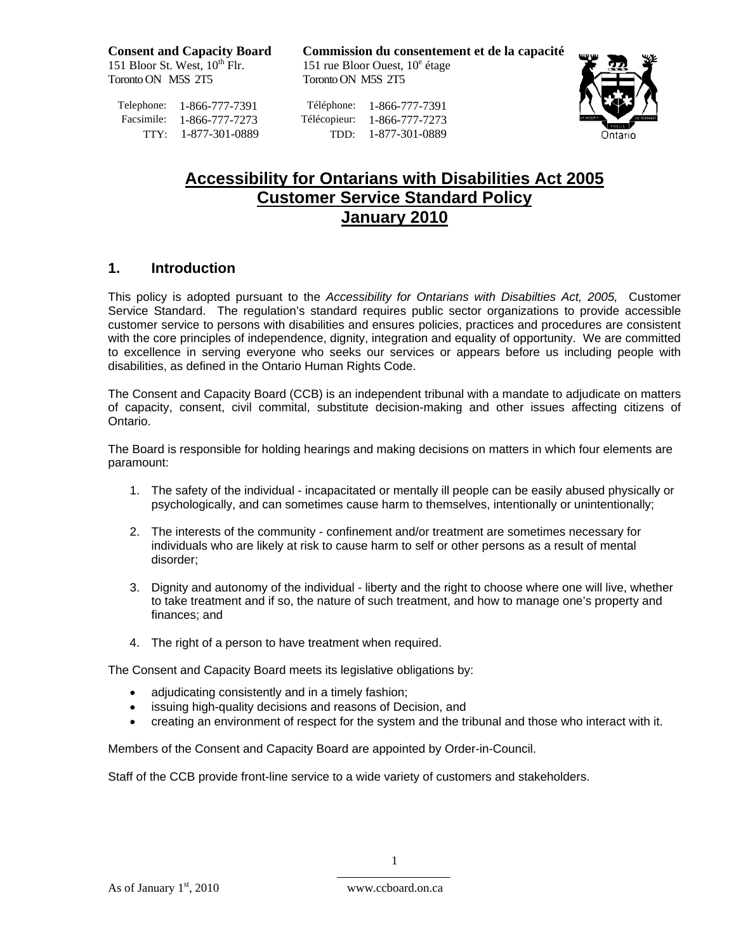151 Bloor St. West,  $10^{\text{th}}$  Flr. 151 rue Bloor Ouest,<br>Toronto ON M5S 2T5 Toronto ON M5S 2T5 Toronto ON M5S 2T5

**Consent and Capacity Board Commission du consentement et de la capacité** 151 rue Bloor Ouest,  $10^e$  étage

Telephone: 1-866-777-7391<br>
Facsimile: 1-866-777-7273<br>
Télécopieur: 1-866-777-7273 Télécopieur: 1-866-777-7273 TTY: 1-877-301-0889 TDD: 1-877-301-0889



# **Accessibility for Ontarians with Disabilities Act 2005 Customer Service Standard Policy January 2010**

#### **1. Introduction**

This policy is adopted pursuant to the *Accessibility for Ontarians with Disabilties Act, 2005,* Customer Service Standard. The regulation's standard requires public sector organizations to provide accessible customer service to persons with disabilities and ensures policies, practices and procedures are consistent with the core principles of independence, dignity, integration and equality of opportunity. We are committed to excellence in serving everyone who seeks our services or appears before us including people with disabilities, as defined in the Ontario Human Rights Code.

The Consent and Capacity Board (CCB) is an independent tribunal with a mandate to adjudicate on matters of capacity, consent, civil commital, substitute decision-making and other issues affecting citizens of Ontario.

The Board is responsible for holding hearings and making decisions on matters in which four elements are paramount:

- 1. The safety of the individual incapacitated or mentally ill people can be easily abused physically or psychologically, and can sometimes cause harm to themselves, intentionally or unintentionally;
- 2. The interests of the community confinement and/or treatment are sometimes necessary for individuals who are likely at risk to cause harm to self or other persons as a result of mental disorder;
- 3. Dignity and autonomy of the individual liberty and the right to choose where one will live, whether to take treatment and if so, the nature of such treatment, and how to manage one's property and finances; and
- 4. The right of a person to have treatment when required.

The Consent and Capacity Board meets its legislative obligations by:

- adjudicating consistently and in a timely fashion;
- issuing high-quality decisions and reasons of Decision, and
- creating an environment of respect for the system and the tribunal and those who interact with it.

Members of the Consent and Capacity Board are appointed by Order-in-Council.

Staff of the CCB provide front-line service to a wide variety of customers and stakeholders.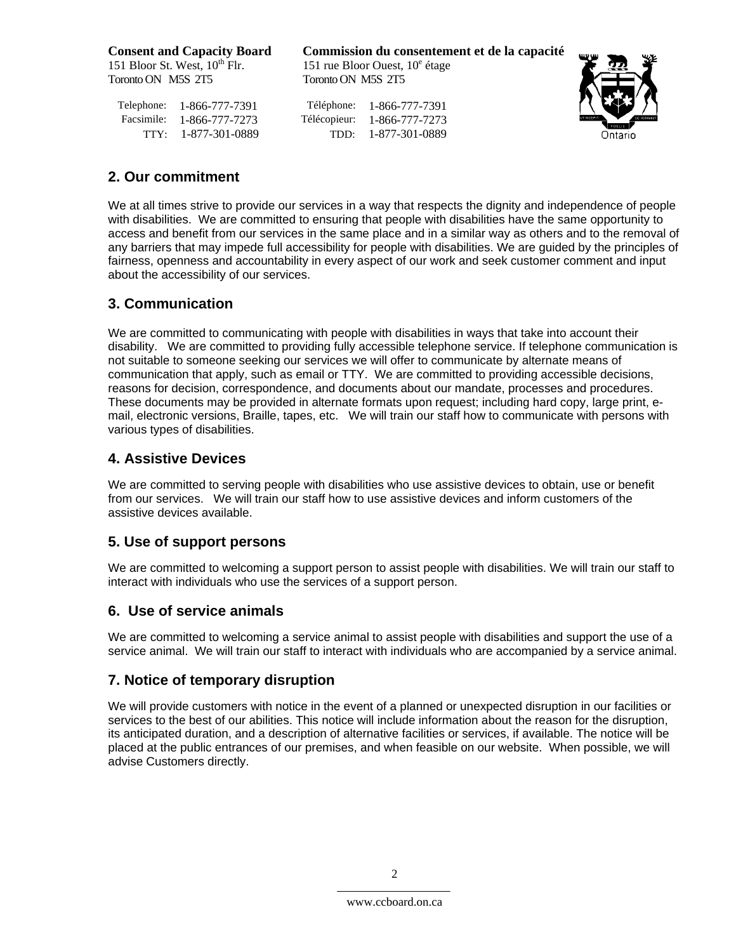151 Bloor St. West,  $10^{th}$  Flr. Toronto ON M5S 2T5 Toronto ON M5S 2T5

Telephone: 1-866-777-7391<br>
Facsimile: 1-866-777-7273<br>
Télécopieur: 1-866-777-7273 Facsimile: 1-866-777-7273

**Consent and Capacity Board Commission du consentement et de la capacité** 151 rue Bloor Ouest,  $10^e$  étage

TTY: 1-877-301-0889 TDD: 1-877-301-0889



## **2. Our commitment**

We at all times strive to provide our services in a way that respects the dignity and independence of people with disabilities. We are committed to ensuring that people with disabilities have the same opportunity to access and benefit from our services in the same place and in a similar way as others and to the removal of any barriers that may impede full accessibility for people with disabilities. We are guided by the principles of fairness, openness and accountability in every aspect of our work and seek customer comment and input about the accessibility of our services.

## **3. Communication**

We are committed to communicating with people with disabilities in ways that take into account their disability. We are committed to providing fully accessible telephone service. If telephone communication is not suitable to someone seeking our services we will offer to communicate by alternate means of communication that apply, such as email or TTY. We are committed to providing accessible decisions, reasons for decision, correspondence, and documents about our mandate, processes and procedures. These documents may be provided in alternate formats upon request; including hard copy, large print, email, electronic versions, Braille, tapes, etc. We will train our staff how to communicate with persons with various types of disabilities.

#### **4. Assistive Devices**

We are committed to serving people with disabilities who use assistive devices to obtain, use or benefit from our services. We will train our staff how to use assistive devices and inform customers of the assistive devices available.

## **5. Use of support persons**

We are committed to welcoming a support person to assist people with disabilities. We will train our staff to interact with individuals who use the services of a support person.

## **6. Use of service animals**

We are committed to welcoming a service animal to assist people with disabilities and support the use of a service animal. We will train our staff to interact with individuals who are accompanied by a service animal.

## **7. Notice of temporary disruption**

We will provide customers with notice in the event of a planned or unexpected disruption in our facilities or services to the best of our abilities. This notice will include information about the reason for the disruption, its anticipated duration, and a description of alternative facilities or services, if available. The notice will be placed at the public entrances of our premises, and when feasible on our website. When possible, we will advise Customers directly.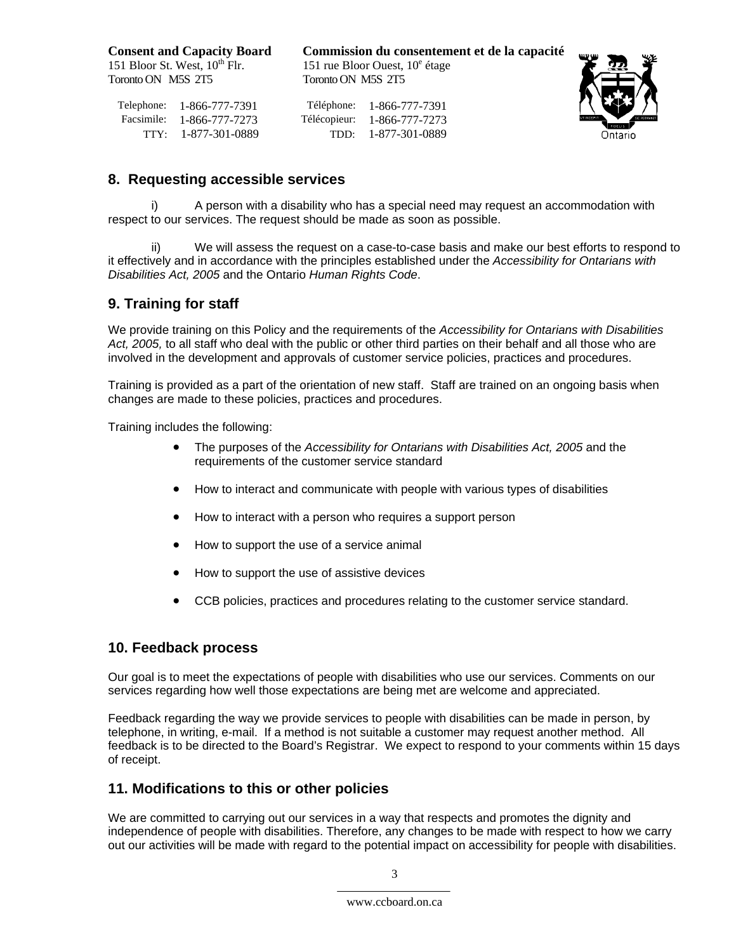151 Bloor St. West,  $10^{th}$  Flr. Toronto ON M5S 2T5 Toronto ON M5S 2T5

**Consent and Capacity Board Commission du consentement et de la capacité** 151 rue Bloor Ouest,  $10^e$  étage

Facsimile: 1-866-777-7273

Telephone: 1-866-777-7391<br>
Facsimile: 1-866-777-7273<br>
Télécopieur: 1-866-777-7273 TTY: 1-877-301-0889 TDD: 1-877-301-0889



#### **8. Requesting accessible services**

A person with a disability who has a special need may request an accommodation with respect to our services. The request should be made as soon as possible.

We will assess the request on a case-to-case basis and make our best efforts to respond to it effectively and in accordance with the principles established under the *Accessibility for Ontarians with Disabilities Act, 2005* and the Ontario *Human Rights Code*.

## **9. Training for staff**

We provide training on this Policy and the requirements of the *Accessibility for Ontarians with Disabilities Act, 2005,* to all staff who deal with the public or other third parties on their behalf and all those who are involved in the development and approvals of customer service policies, practices and procedures.

Training is provided as a part of the orientation of new staff. Staff are trained on an ongoing basis when changes are made to these policies, practices and procedures.

Training includes the following:

- The purposes of the *Accessibility for Ontarians with Disabilities Act, 2005* and the requirements of the customer service standard
- How to interact and communicate with people with various types of disabilities
- How to interact with a person who requires a support person
- How to support the use of a service animal
- How to support the use of assistive devices
- CCB policies, practices and procedures relating to the customer service standard.

#### **10. Feedback process**

Our goal is to meet the expectations of people with disabilities who use our services. Comments on our services regarding how well those expectations are being met are welcome and appreciated.

Feedback regarding the way we provide services to people with disabilities can be made in person, by telephone, in writing, e-mail. If a method is not suitable a customer may request another method. All feedback is to be directed to the Board's Registrar. We expect to respond to your comments within 15 days of receipt.

#### **11. Modifications to this or other policies**

We are committed to carrying out our services in a way that respects and promotes the dignity and independence of people with disabilities. Therefore, any changes to be made with respect to how we carry out our activities will be made with regard to the potential impact on accessibility for people with disabilities.